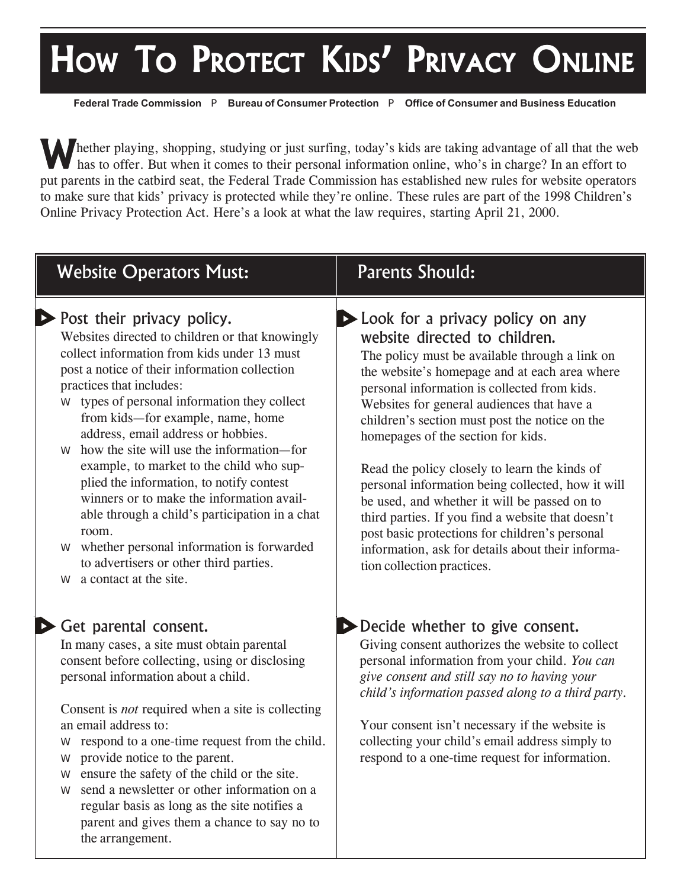## HOW TO PROTECT KIDS' PRIVACY ONLINE

**Federal Trade Commission** P **Bureau of Consumer Protection** P **Office of Consumer and Business Education**

Whether playing, shopping, studying or just surfing, today's kids are taking advantage of all that the web has to offer. But when it comes to their personal information online, who's in charge? In an effort to put parents in the catbird seat, the Federal Trade Commission has established new rules for website operators to make sure that kids' privacy is protected while they're online. These rules are part of the 1998 Children's Online Privacy Protection Act. Here's a look at what the law requires, starting April 21, 2000.

| <b>Website Operators Must:</b>                                                                                                                                                                                                                                                                                                                                                                                                                                                                                                                                                                                                                                                                                                   | <b>Parents Should:</b>                                                                                                                                                                                                                                                                                                                                                                                                                                                                                                                                                                                                                                                                                     |
|----------------------------------------------------------------------------------------------------------------------------------------------------------------------------------------------------------------------------------------------------------------------------------------------------------------------------------------------------------------------------------------------------------------------------------------------------------------------------------------------------------------------------------------------------------------------------------------------------------------------------------------------------------------------------------------------------------------------------------|------------------------------------------------------------------------------------------------------------------------------------------------------------------------------------------------------------------------------------------------------------------------------------------------------------------------------------------------------------------------------------------------------------------------------------------------------------------------------------------------------------------------------------------------------------------------------------------------------------------------------------------------------------------------------------------------------------|
| Post their privacy policy.<br>Websites directed to children or that knowingly<br>collect information from kids under 13 must<br>post a notice of their information collection<br>practices that includes:<br>types of personal information they collect<br>⊅<br>from kids-for example, name, home<br>address, email address or hobbies.<br>how the site will use the information—for<br>$\Rightarrow$<br>example, to market to the child who sup-<br>plied the information, to notify contest<br>winners or to make the information avail-<br>able through a child's participation in a chat<br>room.<br>whether personal information is forwarded<br>⇨<br>to advertisers or other third parties.<br>a contact at the site.<br>⇨ | Look for a privacy policy on any<br>website directed to children.<br>The policy must be available through a link on<br>the website's homepage and at each area where<br>personal information is collected from kids.<br>Websites for general audiences that have a<br>children's section must post the notice on the<br>homepages of the section for kids.<br>Read the policy closely to learn the kinds of<br>personal information being collected, how it will<br>be used, and whether it will be passed on to<br>third parties. If you find a website that doesn't<br>post basic protections for children's personal<br>information, ask for details about their informa-<br>tion collection practices. |
| Get parental consent.<br>In many cases, a site must obtain parental<br>consent before collecting, using or disclosing<br>personal information about a child.<br>Consent is <i>not</i> required when a site is collecting<br>an email address to:<br>respond to a one-time request from the child.<br>⇨<br>provide notice to the parent.<br>$\Rightarrow$<br>ensure the safety of the child or the site.<br>$\Rightarrow$<br>sand a newslatter or other information on a                                                                                                                                                                                                                                                          | Decide whether to give consent.<br>Giving consent authorizes the website to collect<br>personal information from your child. You can<br>give consent and still say no to having your<br>child's information passed along to a third party.<br>Your consent isn't necessary if the website is<br>collecting your child's email address simply to<br>respond to a one-time request for information.                                                                                                                                                                                                                                                                                                          |

send a newsletter or other information on a regular basis as long as the site notifies a parent and gives them a chance to say no to the arrangement.